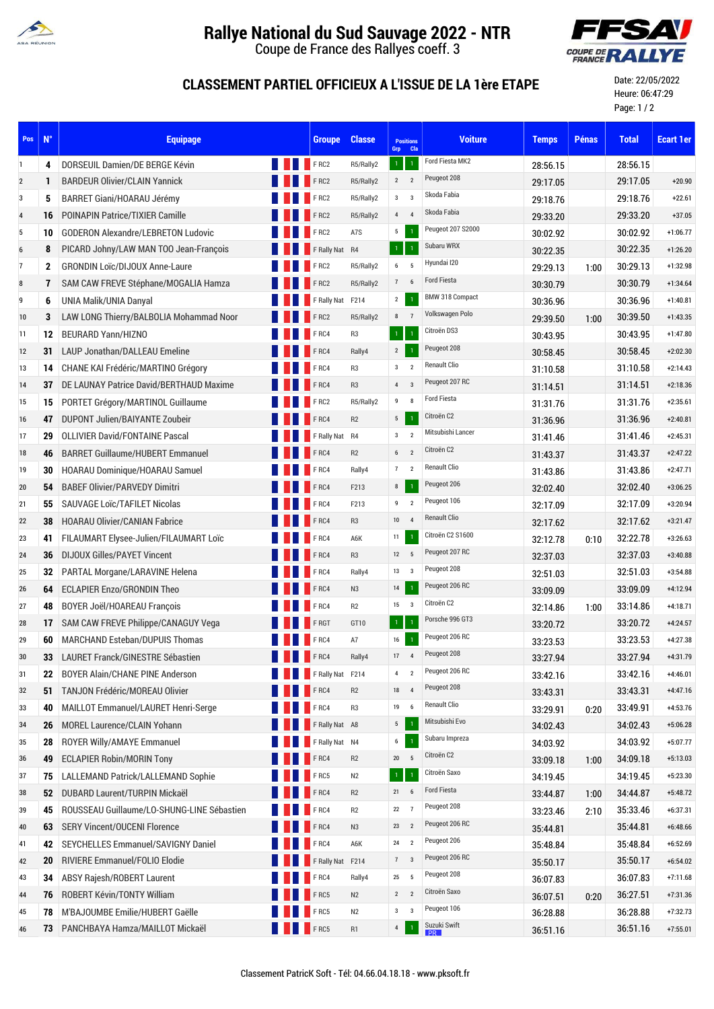

## **Rallye National du Sud Sauvage 2022 - NTR**

Coupe de France des Rallyes coeff. 3



## **CLASSEMENT PARTIEL OFFICIEUX A L'ISSUE DE LA 1ère ETAPE**

Date: 22/05/2022 Heure: 06:47:29 Page: 1 / 2

| Pos            | $N^{\circ}$  | <b>Equipage</b>                            | <b>Groupe</b>        | <b>Classe</b>  | <b>Positions</b><br>Grp Cla               | <b>Voiture</b>      | <b>Temps</b> | <b>Pénas</b> | <b>Total</b> | <b>Ecart 1er</b> |
|----------------|--------------|--------------------------------------------|----------------------|----------------|-------------------------------------------|---------------------|--------------|--------------|--------------|------------------|
| $\mathbf{1}$   | 4            | DORSEUIL Damien/DE BERGE Kévin             | <b>FRC2</b>          | R5/Rally2      | 1 <sub>1</sub>                            | Ford Fiesta MK2     | 28:56.15     |              | 28:56.15     |                  |
| $\overline{2}$ | 1            | <b>BARDEUR Olivier/CLAIN Yannick</b>       | FRC2                 | R5/Rally2      | $\overline{2}$<br>$\overline{2}$          | Peugeot 208         | 29:17.05     |              | 29:17.05     | $+20.90$         |
| 3              | 5            | BARRET Giani/HOARAU Jérémy                 | F <sub>RC2</sub>     | R5/Rally2      | $\overline{3}$<br>3 <sup>1</sup>          | Skoda Fabia         | 29:18.76     |              | 29:18.76     | $+22.61$         |
| $\overline{4}$ | 16           | <b>POINAPIN Patrice/TIXIER Camille</b>     | F RC2                | R5/Rally2      | $4\quad 4$                                | Skoda Fabia         | 29:33.20     |              | 29:33.20     | $+37.05$         |
| 5              | 10           | <b>GODERON Alexandre/LEBRETON Ludovic</b>  | F RC2                | A7S            | 5<br>$\overline{1}$                       | Peugeot 207 S2000   | 30:02.92     |              | 30:02.92     | $+1:06.77$       |
| 6              | 8            | PICARD Johny/LAW MAN TOO Jean-François     | F Rally Nat R4       |                | $\mathbf 1$                               | Subaru WRX          | 30:22.35     |              | 30:22.35     | $+1:26.20$       |
| $\overline{7}$ | $\mathbf{2}$ | <b>GRONDIN Loïc/DIJOUX Anne-Laure</b>      | FRC2                 | R5/Rally2      | 6 5                                       | Hyundai I20         | 29:29.13     | 1:00         | 30:29.13     | $+1:32.98$       |
| 8              | 7            | SAM CAW FREVE Stéphane/MOGALIA Hamza       | $F$ RC2              | R5/Rally2      | 7<br>6                                    | <b>Ford Fiesta</b>  | 30:30.79     |              | 30:30.79     | $+1:34.64$       |
| 9              | 6            | UNIA Malik/UNIA Danyal                     | F Rally Nat F214     |                | $\overline{2}$<br>$\overline{1}$          | BMW 318 Compact     | 30:36.96     |              | 30:36.96     | $+1:40.81$       |
| 10             | 3            | LAW LONG Thierry/BALBOLIA Mohammad Noor    | F RC2                | R5/Rally2      | 8<br>$\overline{7}$                       | Volkswagen Polo     | 29.39.50     | 1:00         | 30:39.50     | $+1:43.35$       |
| 11             | 12           | <b>BEURARD Yann/HIZNO</b>                  | FRC4                 | R <sub>3</sub> | $1 -$<br>$\overline{1}$                   | Citroën DS3         | 30:43.95     |              | 30:43.95     | $+1:47.80$       |
| 12             | 31           | LAUP Jonathan/DALLEAU Emeline              | FRC4                 | Rally4         | 2<br>$\overline{1}$                       | Peugeot 208         | 30:58.45     |              | 30:58.45     | $+2:02.30$       |
| 13             | 14           | CHANE KAI Frédéric/MARTINO Grégory         | FRC4                 | R <sub>3</sub> | $\mathbf{3}$<br>$\overline{2}$            | <b>Renault Clio</b> | 31:10.58     |              | 31:10.58     | $+2:14.43$       |
| 14             | 37           | DE LAUNAY Patrice David/BERTHAUD Maxime    | $\blacksquare$ F RC4 | R <sub>3</sub> | $\overline{4}$<br>$\overline{\mathbf{3}}$ | Peugeot 207 RC      | 31.14.51     |              | 31:14.51     | $+2:18.36$       |
| 15             | 15           | PORTET Grégory/MARTINOL Guillaume          | FRC2                 | R5/Rally2      | $9 \t 8$                                  | <b>Ford Fiesta</b>  | 31:31.76     |              | 31:31.76     | $+2:35.61$       |
| 16             | 47           | DUPONT Julien/BAIYANTE Zoubeir             | FRC4                 | R2             | 5 <sub>5</sub>                            | Citroën C2          | 31.36.96     |              | 31:36.96     | $+2:40.81$       |
| 17             | 29           | <b>OLLIVIER David/FONTAINE Pascal</b>      | F Rally Nat R4       |                | $\mathbf{3}$<br>$\overline{2}$            | Mitsubishi Lancer   | 31:41.46     |              | 31:41.46     | $+2:45.31$       |
| 18             | 46           | <b>BARRET Guillaume/HUBERT Emmanuel</b>    | F <sub>RC4</sub>     | R2             | 6 <sub>2</sub>                            | Citroën C2          | 31:43.37     |              | 31:43.37     | $+2:47.22$       |
| 19             | 30           | HOARAU Dominique/HOARAU Samuel             | F <sub>RC4</sub>     | Rally4         | 7<br>$\overline{2}$                       | <b>Renault Clio</b> | 31:43.86     |              | 31:43.86     | $+2:47.71$       |
| 20             | 54           | <b>BABEF Olivier/PARVEDY Dimitri</b>       | $F$ RC4              | F213           | 8<br>$\overline{1}$                       | Peugeot 206         | 32:02.40     |              | 32:02.40     | $+3:06.25$       |
| 21             | 55           | <b>SAUVAGE LOIC/TAFILET Nicolas</b>        | FRC4                 | F213           | $9$ 2                                     | Peugeot 106         | 32.17.09     |              | 32:17.09     | $+3:20.94$       |
| 22             | 38           | <b>HOARAU Olivier/CANIAN Fabrice</b>       | FRC4                 | R <sub>3</sub> | $10 \qquad 4$                             | <b>Renault Clio</b> | 32.17.62     |              | 32:17.62     | $+3:21.47$       |
| 23             | 41           | FILAUMART Elysee-Julien/FILAUMART Loïc     | FRC4                 | A6K            | 11<br>$\overline{1}$                      | Citroën C2 S1600    | 32:12.78     | 0:10         | 32:22.78     | $+3:26.63$       |
| 24             | 36           | DIJOUX Gilles/PAYET Vincent                | FRC4                 | R <sub>3</sub> | 12 5                                      | Peugeot 207 RC      | 32.37.03     |              | 32:37.03     | $+3:40.88$       |
| 25             | 32           | PARTAL Morgane/LARAVINE Helena             | FRC4                 | Rally4         | $13 \qquad 3$                             | Peugeot 208         | 32:51.03     |              | 32:51.03     | $+3:54.88$       |
| 26             | 64           | <b>ECLAPIER Enzo/GRONDIN Theo</b>          | F RC4                | N3             | 14<br>$\overline{1}$                      | Peugeot 206 RC      | 33:09.09     |              | 33:09.09     | $+4:12.94$       |
| 27             | 48           | <b>BOYER Joël/HOAREAU François</b>         | FRC4                 | R <sub>2</sub> | $15 \qquad 3$                             | Citroën C2          | 32.14.86     | 1:00         | 33:14.86     | $+4:18.71$       |
| 28             | 17           | SAM CAW FREVE Philippe/CANAGUY Vega        | FRGT                 | GT10           | 1 <sub>1</sub>                            | Porsche 996 GT3     | 33.20.72     |              | 33:20.72     | $+4:24.57$       |
| 29             | 60           | <b>MARCHAND Esteban/DUPUIS Thomas</b>      | FRC4                 | A7             | 16                                        | Peugeot 206 RC      | 33:23.53     |              | 33:23.53     | $+4:27.38$       |
| 30             | 33           | LAURET Franck/GINESTRE Sébastien           | FRC4                 | Rally4         | 17<br>$\overline{4}$                      | Peugeot 208         | 33:27.94     |              | 33:27.94     | $+4:31.79$       |
| 31             | 22           | <b>BOYER Alain/CHANE PINE Anderson</b>     | F Rally Nat F214     |                | $\overline{2}$<br>$\overline{4}$          | Peugeot 206 RC      | 33:42.16     |              | 33:42.16     | $+4:46.01$       |
| 32             | 51           | TANJON Frédéric/MOREAU Olivier             | F RC4                | R2             | 18 4                                      | Peugeot 208         | 33.43.31     |              | 33:43.31     | $+4:47.16$       |
| 33             | 40           | MAILLOT Emmanuel/LAURET Henri-Serge        | FRC4                 | R <sub>3</sub> | 19 6                                      | Renault Clio        | 33:29.91     | 0:20         | 33:49.91     | $+4:53.76$       |
| 34             | 26           | <b>MOREL Laurence/CLAIN Yohann</b>         | F Rally Nat A8       |                | 5 <sup>1</sup><br>$\overline{1}$          | Mitsubishi Evo      | 34:02.43     |              | 34:02.43     | $+5:06.28$       |
| 35             | 28           | ROYER Willy/AMAYE Emmanuel                 | F Rally Nat N4       |                | 6                                         | Subaru Impreza      | 34:03.92     |              | 34:03.92     | $+5:07.77$       |
| 36             | 49           | <b>ECLAPIER Robin/MORIN Tony</b>           | FRC4                 | R2             | $20\qquad 5$                              | Citroën C2          | 33.09.18     | 1:00         | 34:09.18     | $+5:13.03$       |
| 37             | 75           | LALLEMAND Patrick/LALLEMAND Sophie         | FRC5                 | N2             | $1 -$                                     | Citroën Saxo        | 34:19.45     |              | 34:19.45     | $+5:23.30$       |
| 38             | 52           | DUBARD Laurent/TURPIN Mickaël              | F <sub>RC4</sub>     | R2             | 21 6                                      | <b>Ford Fiesta</b>  | 33.44.87     | 1.00         | 34:44.87     | $+5:48.72$       |
| 39             | 45           | ROUSSEAU Guillaume/LO-SHUNG-LINE Sébastien | FRC4                 | R2             | 22<br>$\overline{7}$                      | Peugeot 208         | 33:23.46     | 2:10         | 35:33.46     | $+6:37.31$       |
| 40             | 63           | <b>SERY Vincent/OUCENI Florence</b>        | F RC4                | N3             | 23 2                                      | Peugeot 206 RC      | 35.44.81     |              | 35:44.81     | $+6:48.66$       |
| 41             | 42           | SEYCHELLES Emmanuel/SAVIGNY Daniel         | FRC4                 | A6K            | 24 2                                      | Peugeot 206         | 35:48.84     |              | 35:48.84     | $+6:52.69$       |
| 42             | 20           | RIVIERE Emmanuel/FOLIO Elodie              | F Rally Nat F214     |                | $7 \quad 3$                               | Peugeot 206 RC      | 35.50.17     |              | 35:50.17     | $+6:54.02$       |
| 43             | 34           | <b>ABSY Rajesh/ROBERT Laurent</b>          | FRC4                 | Rally4         | 25 5                                      | Peugeot 208         | 36:07.83     |              | 36:07.83     | $+7:11.68$       |
| 44             | 76           | ROBERT Kévin/TONTY William                 | FRC5                 | N2             | $2 \quad 2$                               | Citroën Saxo        | 36.07.51     | 0:20         | 36:27.51     | $+7:31.36$       |
| 45             | 78           | M'BAJOUMBE Emilie/HUBERT Gaëlle            | FRC5                 | N2             | $3^{\circ}$ 3                             | Peugeot 106         | 36:28.88     |              | 36:28.88     | $+7:32.73$       |
| 46             | 73           | PANCHBAYA Hamza/MAILLOT Mickaël            | F <sub>RCS</sub>     | R1             | $\overline{1}$<br>4                       | Suzuki Swift<br>R   | 36:51.16     |              | 36:51.16     | $+7:55.01$       |